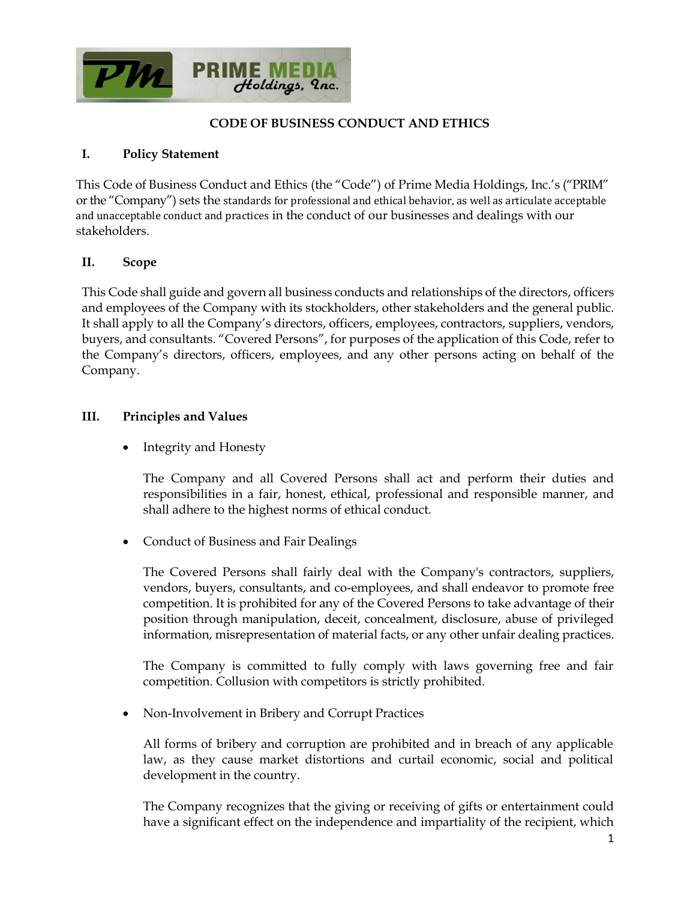

## **CODE OF BUSINESS CONDUCT AND ETHICS**

### **I. Policy Statement**

This Code of Business Conduct and Ethics (the "Code") of Prime Media Holdings, Inc.'s ("PRIM" or the "Company") sets the standards for professional and ethical behavior, as well as articulate acceptable and unacceptable conduct and practices in the conduct of our businesses and dealings with our stakeholders.

### **II. Scope**

This Code shall guide and govern all business conducts and relationships of the directors, officers and employees of the Company with its stockholders, other stakeholders and the general public. It shall apply to all the Company's directors, officers, employees, contractors, suppliers, vendors, buyers, and consultants. "Covered Persons", for purposes of the application of this Code, refer to the Company's directors, officers, employees, and any other persons acting on behalf of the Company.

#### **III. Principles and Values**

• Integrity and Honesty

The Company and all Covered Persons shall act and perform their duties and responsibilities in a fair, honest, ethical, professional and responsible manner, and shall adhere to the highest norms of ethical conduct.

• Conduct of Business and Fair Dealings

The Covered Persons shall fairly deal with the Company's contractors, suppliers, vendors, buyers, consultants, and co-employees, and shall endeavor to promote free competition. It is prohibited for any of the Covered Persons to take advantage of their position through manipulation, deceit, concealment, disclosure, abuse of privileged information, misrepresentation of material facts, or any other unfair dealing practices.

The Company is committed to fully comply with laws governing free and fair competition. Collusion with competitors is strictly prohibited.

• Non-Involvement in Bribery and Corrupt Practices

All forms of bribery and corruption are prohibited and in breach of any applicable law, as they cause market distortions and curtail economic, social and political development in the country.

The Company recognizes that the giving or receiving of gifts or entertainment could have a significant effect on the independence and impartiality of the recipient, which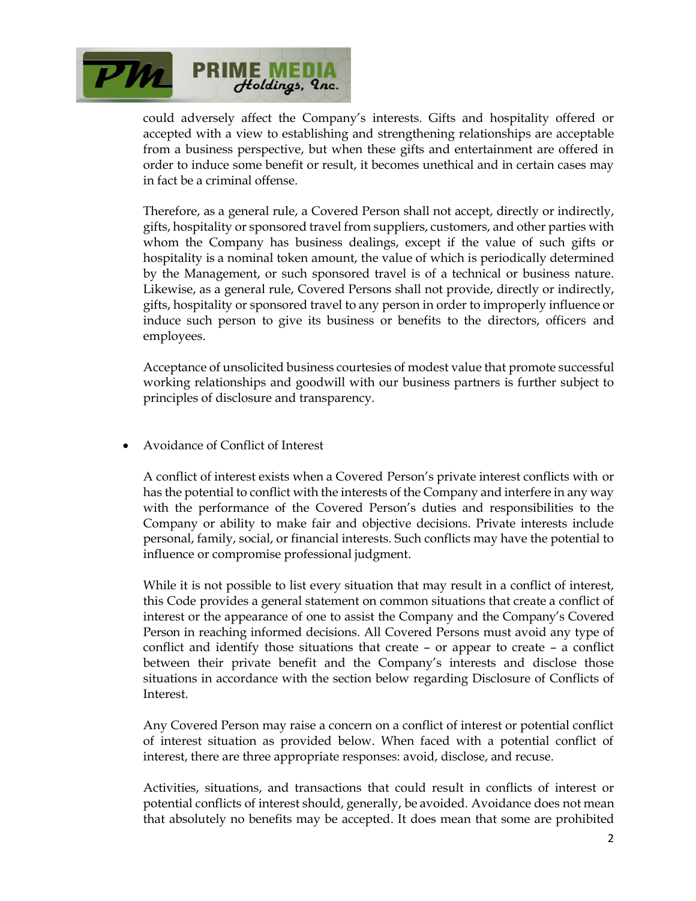

could adversely affect the Company's interests. Gifts and hospitality offered or accepted with a view to establishing and strengthening relationships are acceptable from a business perspective, but when these gifts and entertainment are offered in order to induce some benefit or result, it becomes unethical and in certain cases may in fact be a criminal offense.

Therefore, as a general rule, a Covered Person shall not accept, directly or indirectly, gifts, hospitality or sponsored travel from suppliers, customers, and other parties with whom the Company has business dealings, except if the value of such gifts or hospitality is a nominal token amount, the value of which is periodically determined by the Management, or such sponsored travel is of a technical or business nature. Likewise, as a general rule, Covered Persons shall not provide, directly or indirectly, gifts, hospitality or sponsored travel to any person in order to improperly influence or induce such person to give its business or benefits to the directors, officers and employees.

Acceptance of unsolicited business courtesies of modest value that promote successful working relationships and goodwill with our business partners is further subject to principles of disclosure and transparency.

• Avoidance of Conflict of Interest

A conflict of interest exists when a Covered Person's private interest conflicts with or has the potential to conflict with the interests of the Company and interfere in any way with the performance of the Covered Person's duties and responsibilities to the Company or ability to make fair and objective decisions. Private interests include personal, family, social, or financial interests. Such conflicts may have the potential to influence or compromise professional judgment.

While it is not possible to list every situation that may result in a conflict of interest, this Code provides a general statement on common situations that create a conflict of interest or the appearance of one to assist the Company and the Company's Covered Person in reaching informed decisions. All Covered Persons must avoid any type of conflict and identify those situations that create – or appear to create – a conflict between their private benefit and the Company's interests and disclose those situations in accordance with the section below regarding Disclosure of Conflicts of Interest.

Any Covered Person may raise a concern on a conflict of interest or potential conflict of interest situation as provided below. When faced with a potential conflict of interest, there are three appropriate responses: avoid, disclose, and recuse.

Activities, situations, and transactions that could result in conflicts of interest or potential conflicts of interest should, generally, be avoided. Avoidance does not mean that absolutely no benefits may be accepted. It does mean that some are prohibited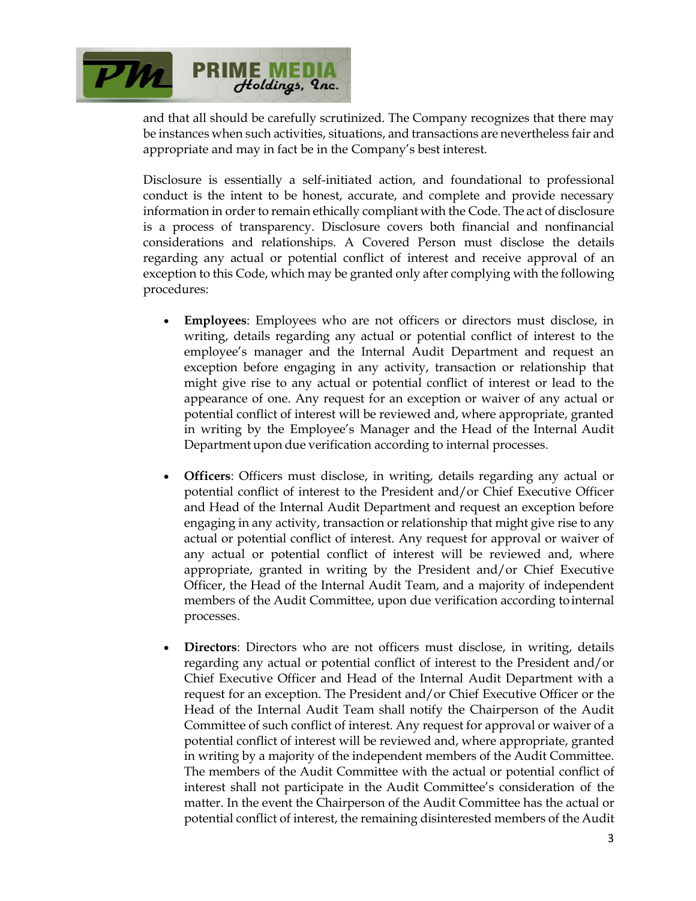

and that all should be carefully scrutinized. The Company recognizes that there may be instances when such activities, situations, and transactions are nevertheless fair and appropriate and may in fact be in the Company's best interest.

Disclosure is essentially a self-initiated action, and foundational to professional conduct is the intent to be honest, accurate, and complete and provide necessary information in order to remain ethically compliant with the Code. The act of disclosure is a process of transparency. Disclosure covers both financial and nonfinancial considerations and relationships. A Covered Person must disclose the details regarding any actual or potential conflict of interest and receive approval of an exception to this Code, which may be granted only after complying with the following procedures:

- **Employees**: Employees who are not officers or directors must disclose, in writing, details regarding any actual or potential conflict of interest to the employee's manager and the Internal Audit Department and request an exception before engaging in any activity, transaction or relationship that might give rise to any actual or potential conflict of interest or lead to the appearance of one. Any request for an exception or waiver of any actual or potential conflict of interest will be reviewed and, where appropriate, granted in writing by the Employee's Manager and the Head of the Internal Audit Department upon due verification according to internal processes.
- **Officers**: Officers must disclose, in writing, details regarding any actual or potential conflict of interest to the President and/or Chief Executive Officer and Head of the Internal Audit Department and request an exception before engaging in any activity, transaction or relationship that might give rise to any actual or potential conflict of interest. Any request for approval or waiver of any actual or potential conflict of interest will be reviewed and, where appropriate, granted in writing by the President and/or Chief Executive Officer, the Head of the Internal Audit Team, and a majority of independent members of the Audit Committee, upon due verification according tointernal processes.
- **Directors**: Directors who are not officers must disclose, in writing, details regarding any actual or potential conflict of interest to the President and/or Chief Executive Officer and Head of the Internal Audit Department with a request for an exception. The President and/or Chief Executive Officer or the Head of the Internal Audit Team shall notify the Chairperson of the Audit Committee of such conflict of interest. Any request for approval or waiver of a potential conflict of interest will be reviewed and, where appropriate, granted in writing by a majority of the independent members of the Audit Committee. The members of the Audit Committee with the actual or potential conflict of interest shall not participate in the Audit Committee's consideration of the matter. In the event the Chairperson of the Audit Committee has the actual or potential conflict of interest, the remaining disinterested members of the Audit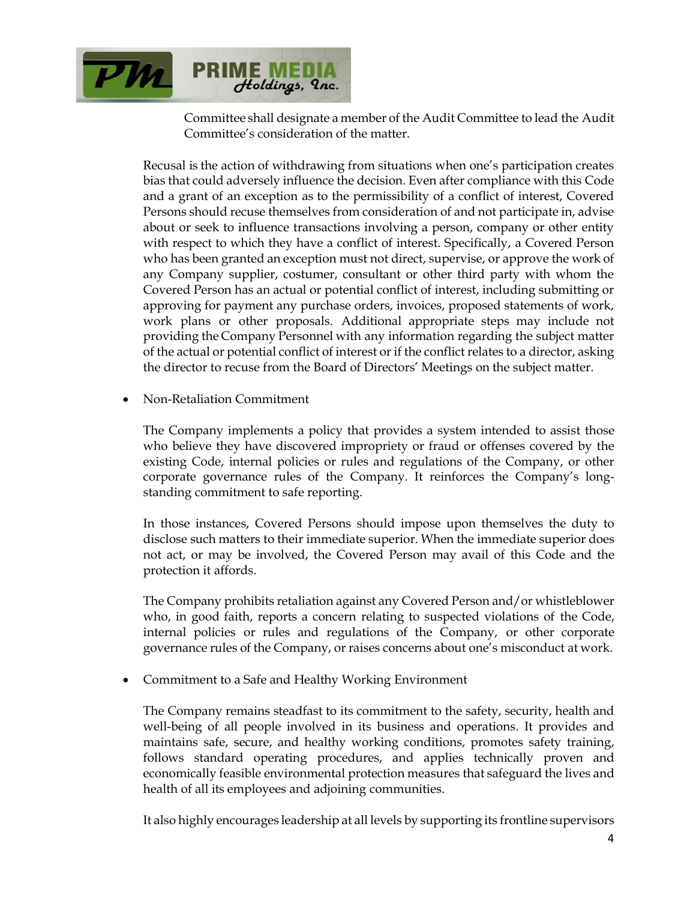

Committee shall designate a member of the Audit Committee to lead the Audit Committee's consideration of the matter.

Recusal is the action of withdrawing from situations when one's participation creates bias that could adversely influence the decision. Even after compliance with this Code and a grant of an exception as to the permissibility of a conflict of interest, Covered Persons should recuse themselves from consideration of and not participate in, advise about or seek to influence transactions involving a person, company or other entity with respect to which they have a conflict of interest. Specifically, a Covered Person who has been granted an exception must not direct, supervise, or approve the work of any Company supplier, costumer, consultant or other third party with whom the Covered Person has an actual or potential conflict of interest, including submitting or approving for payment any purchase orders, invoices, proposed statements of work, work plans or other proposals. Additional appropriate steps may include not providing the Company Personnel with any information regarding the subject matter of the actual or potential conflict of interest or if the conflict relates to a director, asking the director to recuse from the Board of Directors' Meetings on the subject matter.

• Non-Retaliation Commitment

The Company implements a policy that provides a system intended to assist those who believe they have discovered impropriety or fraud or offenses covered by the existing Code, internal policies or rules and regulations of the Company, or other corporate governance rules of the Company. It reinforces the Company's longstanding commitment to safe reporting.

In those instances, Covered Persons should impose upon themselves the duty to disclose such matters to their immediate superior. When the immediate superior does not act, or may be involved, the Covered Person may avail of this Code and the protection it affords.

The Company prohibits retaliation against any Covered Person and/or whistleblower who, in good faith, reports a concern relating to suspected violations of the Code, internal policies or rules and regulations of the Company, or other corporate governance rules of the Company, or raises concerns about one's misconduct at work.

• Commitment to a Safe and Healthy Working Environment

The Company remains steadfast to its commitment to the safety, security, health and well-being of all people involved in its business and operations. It provides and maintains safe, secure, and healthy working conditions, promotes safety training, follows standard operating procedures, and applies technically proven and economically feasible environmental protection measures that safeguard the lives and health of all its employees and adjoining communities.

It also highly encourages leadership at all levels by supporting its frontline supervisors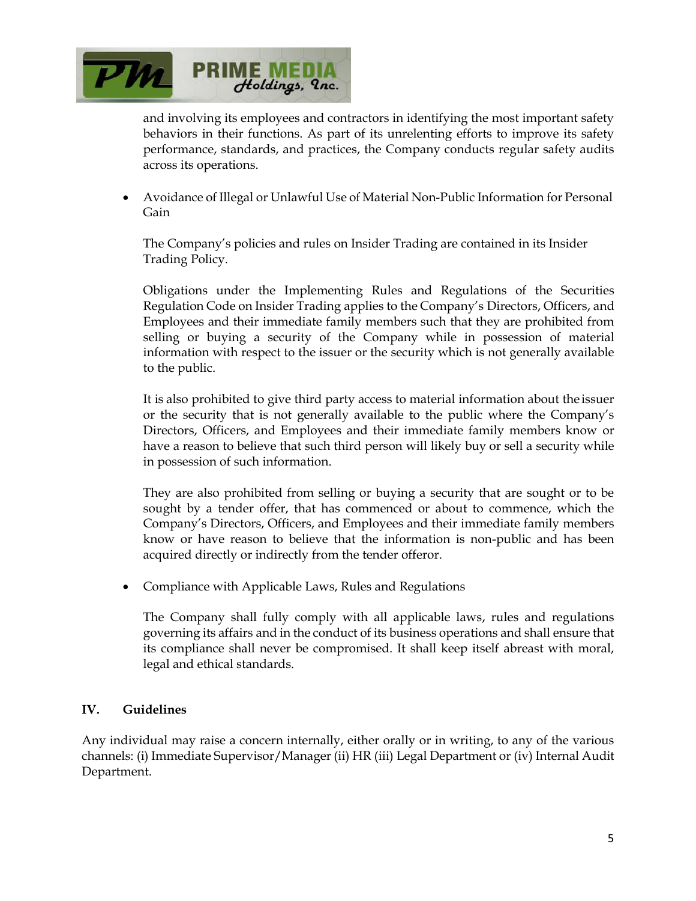

and involving its employees and contractors in identifying the most important safety behaviors in their functions. As part of its unrelenting efforts to improve its safety performance, standards, and practices, the Company conducts regular safety audits across its operations.

• Avoidance of Illegal or Unlawful Use of Material Non-Public Information for Personal Gain

The Company's policies and rules on Insider Trading are contained in its Insider Trading Policy.

Obligations under the Implementing Rules and Regulations of the Securities Regulation Code on Insider Trading applies to the Company's Directors, Officers, and Employees and their immediate family members such that they are prohibited from selling or buying a security of the Company while in possession of material information with respect to the issuer or the security which is not generally available to the public.

It is also prohibited to give third party access to material information about the issuer or the security that is not generally available to the public where the Company's Directors, Officers, and Employees and their immediate family members know or have a reason to believe that such third person will likely buy or sell a security while in possession of such information.

They are also prohibited from selling or buying a security that are sought or to be sought by a tender offer, that has commenced or about to commence, which the Company's Directors, Officers, and Employees and their immediate family members know or have reason to believe that the information is non-public and has been acquired directly or indirectly from the tender offeror.

• Compliance with Applicable Laws, Rules and Regulations

The Company shall fully comply with all applicable laws, rules and regulations governing its affairs and in the conduct of its business operations and shall ensure that its compliance shall never be compromised. It shall keep itself abreast with moral, legal and ethical standards.

#### **IV. Guidelines**

Any individual may raise a concern internally, either orally or in writing, to any of the various channels: (i) Immediate Supervisor/Manager (ii) HR (iii) Legal Department or (iv) Internal Audit Department.